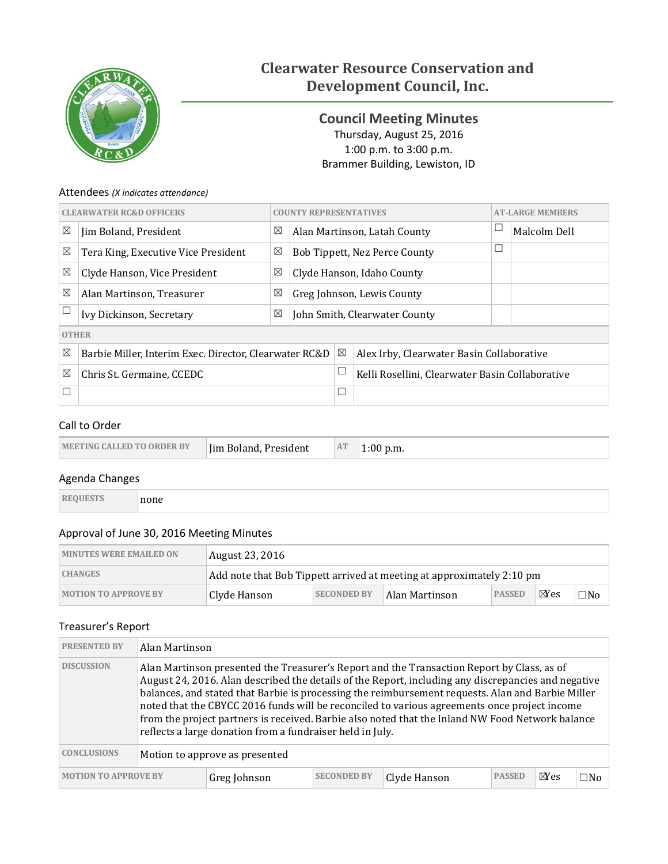

# **Clearwater Resource Conservation and Development Council, Inc.**

<span id="page-0-0"></span>**Council Meeting Minutes** Thursday, August 25, 2016 1:00 p.m. to 3:00 p.m. Brammer Building, Lewiston, ID

# Attendees *(X indicates attendance)*

| <b>CLEARWATER RC&amp;D OFFICERS</b> |                                                        |   | <b>COUNTY REPRESENTATIVES</b> |             |                                                 | <b>AT-LARGE MEMBERS</b> |              |
|-------------------------------------|--------------------------------------------------------|---|-------------------------------|-------------|-------------------------------------------------|-------------------------|--------------|
| $\boxtimes$                         | Jim Boland, President                                  | ⊠ |                               |             | Alan Martinson, Latah County                    |                         | Malcolm Dell |
| $\boxtimes$                         | Tera King, Executive Vice President                    | ⊠ |                               |             | <b>Bob Tippett, Nez Perce County</b>            | $\Box$                  |              |
| $\boxtimes$                         | Clyde Hanson, Vice President                           | ⊠ | Clyde Hanson, Idaho County    |             |                                                 |                         |              |
| $\boxtimes$                         | Alan Martinson, Treasurer                              | ⊠ | Greg Johnson, Lewis County    |             |                                                 |                         |              |
|                                     | Ivy Dickinson, Secretary                               | ⊠ | John Smith, Clearwater County |             |                                                 |                         |              |
| <b>OTHER</b>                        |                                                        |   |                               |             |                                                 |                         |              |
| $\boxtimes$                         | Barbie Miller, Interim Exec. Director, Clearwater RC&D |   |                               | $\boxtimes$ | Alex Irby, Clearwater Basin Collaborative       |                         |              |
| $\boxtimes$                         | Chris St. Germaine, CCEDC                              |   |                               |             | Kelli Rosellini, Clearwater Basin Collaborative |                         |              |
|                                     |                                                        |   |                               | $\Box$      |                                                 |                         |              |

# Call to Order

| Im Boland, President<br><b>MEETING CALLED TO ORDER BY</b> | AT | ` p.m. |
|-----------------------------------------------------------|----|--------|
|-----------------------------------------------------------|----|--------|

# Agenda Changes

| 42 F.Y |
|--------|
|--------|

# Approval of June 30, 2016 Meeting Minutes

| <b>MINUTES WERE EMAILED ON</b> | August 23, 2016 |                                                                       |                |               |                |           |  |
|--------------------------------|-----------------|-----------------------------------------------------------------------|----------------|---------------|----------------|-----------|--|
| <b>CHANGES</b>                 |                 | Add note that Bob Tippett arrived at meeting at approximately 2:10 pm |                |               |                |           |  |
| <b>MOTION TO APPROVE BY</b>    | Clyde Hanson    | <b>SECONDED BY</b>                                                    | Alan Martinson | <b>PASSED</b> | $\boxtimes$ es | $\Box$ No |  |

# Treasurer's Report

| <b>PRESENTED BY</b>         | Alan Martinson                                                                                                                                                                                                                                                                                                                                                                                                                                                                                                                                                          |              |                    |              |               |                |     |
|-----------------------------|-------------------------------------------------------------------------------------------------------------------------------------------------------------------------------------------------------------------------------------------------------------------------------------------------------------------------------------------------------------------------------------------------------------------------------------------------------------------------------------------------------------------------------------------------------------------------|--------------|--------------------|--------------|---------------|----------------|-----|
| <b>DISCUSSION</b>           | Alan Martinson presented the Treasurer's Report and the Transaction Report by Class, as of<br>August 24, 2016. Alan described the details of the Report, including any discrepancies and negative<br>balances, and stated that Barbie is processing the reimbursement requests. Alan and Barbie Miller<br>noted that the CBYCC 2016 funds will be reconciled to various agreements once project income<br>from the project partners is received. Barbie also noted that the Inland NW Food Network balance<br>reflects a large donation from a fundraiser held in July. |              |                    |              |               |                |     |
| <b>CONCLUSIONS</b>          | Motion to approve as presented                                                                                                                                                                                                                                                                                                                                                                                                                                                                                                                                          |              |                    |              |               |                |     |
| <b>MOTION TO APPROVE BY</b> |                                                                                                                                                                                                                                                                                                                                                                                                                                                                                                                                                                         | Greg Johnson | <b>SECONDED BY</b> | Clyde Hanson | <b>PASSED</b> | $\boxtimes$ es | ⊟No |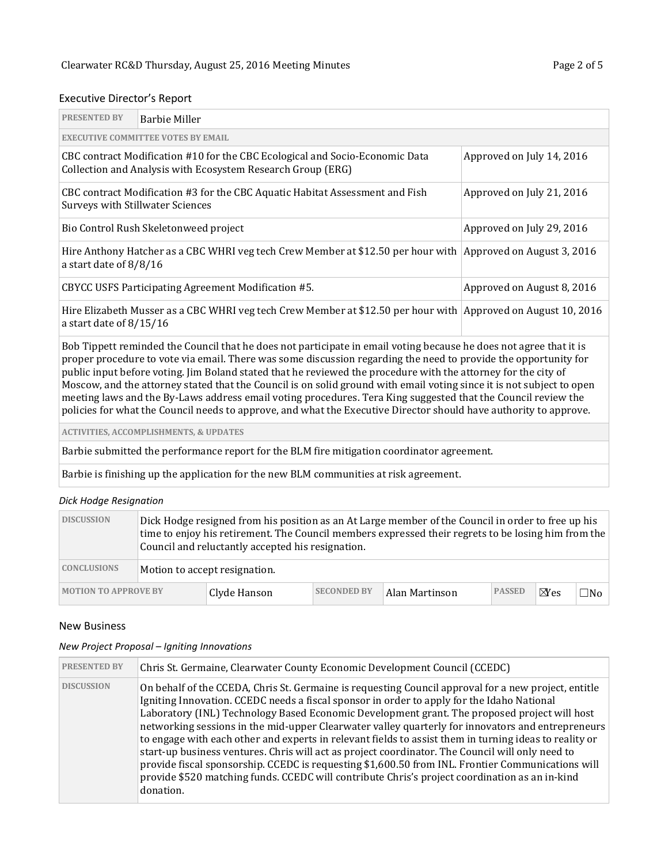# Executive Director's Report

| <b>PRESENTED BY</b>                                                                                                                                                                                                                                                                                                                                                                                                                                                                                                                                                                                                                                                                                                    | <b>Barbie Miller</b>                                                                                                                                                     |                            |  |  |  |  |  |  |
|------------------------------------------------------------------------------------------------------------------------------------------------------------------------------------------------------------------------------------------------------------------------------------------------------------------------------------------------------------------------------------------------------------------------------------------------------------------------------------------------------------------------------------------------------------------------------------------------------------------------------------------------------------------------------------------------------------------------|--------------------------------------------------------------------------------------------------------------------------------------------------------------------------|----------------------------|--|--|--|--|--|--|
| <b>EXECUTIVE COMMITTEE VOTES BY EMAIL</b>                                                                                                                                                                                                                                                                                                                                                                                                                                                                                                                                                                                                                                                                              |                                                                                                                                                                          |                            |  |  |  |  |  |  |
|                                                                                                                                                                                                                                                                                                                                                                                                                                                                                                                                                                                                                                                                                                                        | CBC contract Modification #10 for the CBC Ecological and Socio-Economic Data<br>Approved on July 14, 2016<br>Collection and Analysis with Ecosystem Research Group (ERG) |                            |  |  |  |  |  |  |
| CBC contract Modification #3 for the CBC Aquatic Habitat Assessment and Fish<br>Approved on July 21, 2016<br><b>Surveys with Stillwater Sciences</b>                                                                                                                                                                                                                                                                                                                                                                                                                                                                                                                                                                   |                                                                                                                                                                          |                            |  |  |  |  |  |  |
|                                                                                                                                                                                                                                                                                                                                                                                                                                                                                                                                                                                                                                                                                                                        | Bio Control Rush Skeletonweed project                                                                                                                                    | Approved on July 29, 2016  |  |  |  |  |  |  |
|                                                                                                                                                                                                                                                                                                                                                                                                                                                                                                                                                                                                                                                                                                                        | Hire Anthony Hatcher as a CBC WHRI veg tech Crew Member at \$12.50 per hour with  Approved on August 3, 2016<br>a start date of 8/8/16                                   |                            |  |  |  |  |  |  |
|                                                                                                                                                                                                                                                                                                                                                                                                                                                                                                                                                                                                                                                                                                                        | CBYCC USFS Participating Agreement Modification #5.                                                                                                                      | Approved on August 8, 2016 |  |  |  |  |  |  |
| a start date of $8/15/16$                                                                                                                                                                                                                                                                                                                                                                                                                                                                                                                                                                                                                                                                                              | Hire Elizabeth Musser as a CBC WHRI veg tech Crew Member at \$12.50 per hour with Approved on August 10, 2016                                                            |                            |  |  |  |  |  |  |
| Bob Tippett reminded the Council that he does not participate in email voting because he does not agree that it is<br>proper procedure to vote via email. There was some discussion regarding the need to provide the opportunity for<br>public input before voting. Jim Boland stated that he reviewed the procedure with the attorney for the city of<br>Moscow, and the attorney stated that the Council is on solid ground with email voting since it is not subject to open<br>meeting laws and the By-Laws address email voting procedures. Tera King suggested that the Council review the<br>policies for what the Council needs to approve, and what the Executive Director should have authority to approve. |                                                                                                                                                                          |                            |  |  |  |  |  |  |
|                                                                                                                                                                                                                                                                                                                                                                                                                                                                                                                                                                                                                                                                                                                        | <b>ACTIVITIES, ACCOMPLISHMENTS, &amp; UPDATES</b>                                                                                                                        |                            |  |  |  |  |  |  |
|                                                                                                                                                                                                                                                                                                                                                                                                                                                                                                                                                                                                                                                                                                                        | Barbie submitted the performance report for the BLM fire mitigation coordinator agreement.                                                                               |                            |  |  |  |  |  |  |

Barbie is finishing up the application for the new BLM communities at risk agreement.

# *Dick Hodge Resignation*

| <b>DISCUSSION</b>           |                               | Dick Hodge resigned from his position as an At Large member of the Council in order to free up his<br>time to enjoy his retirement. The Council members expressed their regrets to be losing him from the<br>Council and reluctantly accepted his resignation. |                    |                                 |  |                |           |  |
|-----------------------------|-------------------------------|----------------------------------------------------------------------------------------------------------------------------------------------------------------------------------------------------------------------------------------------------------------|--------------------|---------------------------------|--|----------------|-----------|--|
| <b>CONCLUSIONS</b>          | Motion to accept resignation. |                                                                                                                                                                                                                                                                |                    |                                 |  |                |           |  |
| <b>MOTION TO APPROVE BY</b> |                               | Clyde Hanson                                                                                                                                                                                                                                                   | <b>SECONDED BY</b> | <b>PASSED</b><br>Alan Martinson |  | $N_{\rm{ess}}$ | $\Box$ No |  |

#### New Business

#### *New Project Proposal – Igniting Innovations*

| <b>PRESENTED BY</b> | Chris St. Germaine, Clearwater County Economic Development Council (CCEDC)                                                                                                                                                                                                                                                                                                                                                                                                                                                                                                                                                                                                                                                                                                                                                                |
|---------------------|-------------------------------------------------------------------------------------------------------------------------------------------------------------------------------------------------------------------------------------------------------------------------------------------------------------------------------------------------------------------------------------------------------------------------------------------------------------------------------------------------------------------------------------------------------------------------------------------------------------------------------------------------------------------------------------------------------------------------------------------------------------------------------------------------------------------------------------------|
| <b>DISCUSSION</b>   | On behalf of the CCEDA, Chris St. Germaine is requesting Council approval for a new project, entitle<br>Igniting Innovation. CCEDC needs a fiscal sponsor in order to apply for the Idaho National<br>Laboratory (INL) Technology Based Economic Development grant. The proposed project will host<br>networking sessions in the mid-upper Clearwater valley quarterly for innovators and entrepreneurs<br>to engage with each other and experts in relevant fields to assist them in turning ideas to reality or<br>start-up business ventures. Chris will act as project coordinator. The Council will only need to<br>provide fiscal sponsorship. CCEDC is requesting \$1,600.50 from INL. Frontier Communications will<br>provide \$520 matching funds. CCEDC will contribute Chris's project coordination as an in-kind<br>donation. |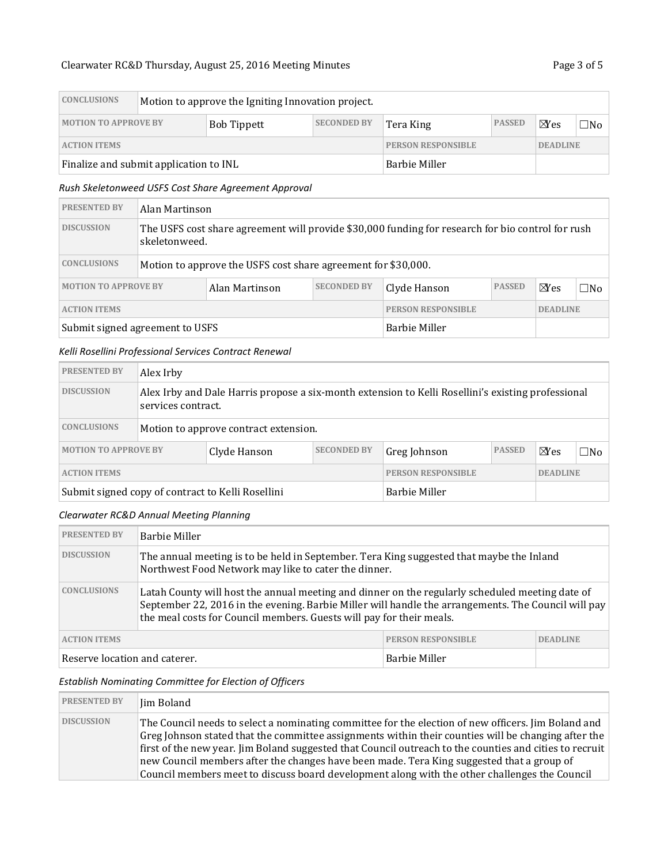# Clearwater RC&D [Thursday, August 25, 2016](#page-0-0) Meeting Minutes Page 3 of 5

| <b>CONCLUSIONS</b>                     | Motion to approve the Igniting Innovation project. |                           |                    |                 |               |                |     |
|----------------------------------------|----------------------------------------------------|---------------------------|--------------------|-----------------|---------------|----------------|-----|
| <b>MOTION TO APPROVE BY</b>            |                                                    | <b>Bob Tippett</b>        | <b>SECONDED BY</b> | Tera King       | <b>PASSED</b> | $\boxtimes$ es | ⊐No |
| <b>ACTION ITEMS</b>                    |                                                    | <b>PERSON RESPONSIBLE</b> |                    | <b>DEADLINE</b> |               |                |     |
| Finalize and submit application to INL |                                                    | <b>Barbie Miller</b>      |                    |                 |               |                |     |

### *Rush Skeletonweed USFS Cost Share Agreement Approval*

| <b>PRESENTED BY</b>             |                                                                                                                    | Alan Martinson                                                |                    |                 |               |                |              |  |
|---------------------------------|--------------------------------------------------------------------------------------------------------------------|---------------------------------------------------------------|--------------------|-----------------|---------------|----------------|--------------|--|
| <b>DISCUSSION</b>               | The USFS cost share agreement will provide \$30,000 funding for research for bio control for rush<br>skeletonweed. |                                                               |                    |                 |               |                |              |  |
| <b>CONCLUSIONS</b>              |                                                                                                                    | Motion to approve the USFS cost share agreement for \$30,000. |                    |                 |               |                |              |  |
| <b>MOTION TO APPROVE BY</b>     |                                                                                                                    | Alan Martinson                                                | <b>SECONDED BY</b> | Clyde Hanson    | <b>PASSED</b> | $\boxtimes$ es | $\square$ No |  |
| <b>ACTION ITEMS</b>             |                                                                                                                    | <b>PERSON RESPONSIBLE</b>                                     |                    | <b>DEADLINE</b> |               |                |              |  |
| Submit signed agreement to USFS |                                                                                                                    | Barbie Miller                                                 |                    |                 |               |                |              |  |

#### *Kelli Rosellini Professional Services Contract Renewal*

| <b>PRESENTED BY</b>                               | Alex Irby |                                                                                                                          |                           |              |                 |              |     |  |  |
|---------------------------------------------------|-----------|--------------------------------------------------------------------------------------------------------------------------|---------------------------|--------------|-----------------|--------------|-----|--|--|
| <b>DISCUSSION</b>                                 |           | Alex Irby and Dale Harris propose a six-month extension to Kelli Rosellini's existing professional<br>services contract. |                           |              |                 |              |     |  |  |
| <b>CONCLUSIONS</b>                                |           | Motion to approve contract extension.                                                                                    |                           |              |                 |              |     |  |  |
| <b>MOTION TO APPROVE BY</b><br>Clyde Hanson       |           |                                                                                                                          | <b>SECONDED BY</b>        | Greg Johnson | <b>PASSED</b>   | $N_{\rm ES}$ | ⊟No |  |  |
| <b>ACTION ITEMS</b>                               |           |                                                                                                                          | <b>PERSON RESPONSIBLE</b> |              | <b>DEADLINE</b> |              |     |  |  |
| Submit signed copy of contract to Kelli Rosellini |           | Barbie Miller                                                                                                            |                           |              |                 |              |     |  |  |

# *Clearwater RC&D Annual Meeting Planning*

| <b>PRESENTED BY</b>           | Barbie Miller                                                                                                                                                                                                                                                                  |                           |                 |  |  |  |
|-------------------------------|--------------------------------------------------------------------------------------------------------------------------------------------------------------------------------------------------------------------------------------------------------------------------------|---------------------------|-----------------|--|--|--|
| <b>DISCUSSION</b>             | The annual meeting is to be held in September. Tera King suggested that maybe the Inland<br>Northwest Food Network may like to cater the dinner.                                                                                                                               |                           |                 |  |  |  |
| <b>CONCLUSIONS</b>            | Latah County will host the annual meeting and dinner on the regularly scheduled meeting date of<br>September 22, 2016 in the evening. Barbie Miller will handle the arrangements. The Council will pay<br>the meal costs for Council members. Guests will pay for their meals. |                           |                 |  |  |  |
| <b>ACTION ITEMS</b>           |                                                                                                                                                                                                                                                                                | <b>PERSON RESPONSIBLE</b> | <b>DEADLINE</b> |  |  |  |
| Reserve location and caterer. |                                                                                                                                                                                                                                                                                | <b>Barbie Miller</b>      |                 |  |  |  |

#### *Establish Nominating Committee for Election of Officers*

| <b>PRESENTED BY</b> | Jim Boland                                                                                                                                                                                                                                                                                                                                                                                                                                                                                                          |
|---------------------|---------------------------------------------------------------------------------------------------------------------------------------------------------------------------------------------------------------------------------------------------------------------------------------------------------------------------------------------------------------------------------------------------------------------------------------------------------------------------------------------------------------------|
| <b>DISCUSSION</b>   | The Council needs to select a nominating committee for the election of new officers. Jim Boland and<br>Greg Johnson stated that the committee assignments within their counties will be changing after the<br>first of the new year. Jim Boland suggested that Council outreach to the counties and cities to recruit<br>new Council members after the changes have been made. Tera King suggested that a group of<br>Council members meet to discuss board development along with the other challenges the Council |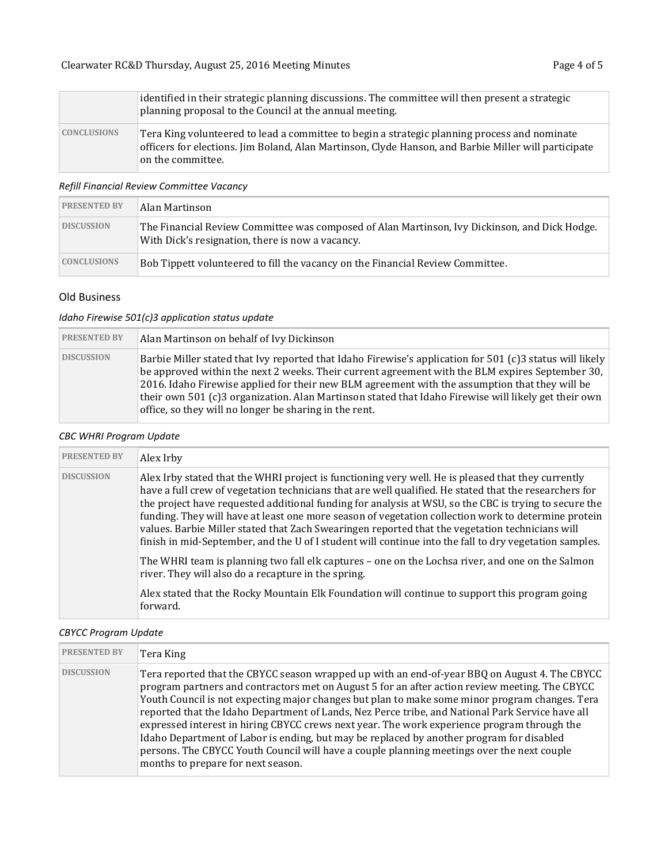|                    | identified in their strategic planning discussions. The committee will then present a strategic<br>planning proposal to the Council at the annual meeting.                                                                |  |  |  |  |
|--------------------|---------------------------------------------------------------------------------------------------------------------------------------------------------------------------------------------------------------------------|--|--|--|--|
| <b>CONCLUSIONS</b> | Tera King volunteered to lead a committee to begin a strategic planning process and nominate<br>officers for elections. Jim Boland, Alan Martinson, Clyde Hanson, and Barbie Miller will participate<br>on the committee. |  |  |  |  |

### *Refill Financial Review Committee Vacancy*

| <b>PRESENTED BY</b> | Alan Martinson                                                                                                                                    |
|---------------------|---------------------------------------------------------------------------------------------------------------------------------------------------|
| <b>DISCUSSION</b>   | The Financial Review Committee was composed of Alan Martinson, Ivy Dickinson, and Dick Hodge.<br>With Dick's resignation, there is now a vacancy. |
| <b>CONCLUSIONS</b>  | Bob Tippett volunteered to fill the vacancy on the Financial Review Committee.                                                                    |

# Old Business

### *Idaho Firewise 501(c)3 application status update*

| <b>PRESENTED BY</b> | Alan Martinson on behalf of Ivy Dickinson                                                                                                                                                                                                                                                                                                                                                                                                                                       |
|---------------------|---------------------------------------------------------------------------------------------------------------------------------------------------------------------------------------------------------------------------------------------------------------------------------------------------------------------------------------------------------------------------------------------------------------------------------------------------------------------------------|
| <b>DISCUSSION</b>   | Barbie Miller stated that Ivy reported that Idaho Firewise's application for 501 (c)3 status will likely<br>be approved within the next 2 weeks. Their current agreement with the BLM expires September 30,<br>2016. Idaho Firewise applied for their new BLM agreement with the assumption that they will be<br>their own 501 (c)3 organization. Alan Martinson stated that Idaho Firewise will likely get their own<br>office, so they will no longer be sharing in the rent. |

# *CBC WHRI Program Update*

| <b>PRESENTED BY</b> | Alex Irby                                                                                                                                                                                                                                                                                                                                                                                                                                                                                                                                                                                                                                 |
|---------------------|-------------------------------------------------------------------------------------------------------------------------------------------------------------------------------------------------------------------------------------------------------------------------------------------------------------------------------------------------------------------------------------------------------------------------------------------------------------------------------------------------------------------------------------------------------------------------------------------------------------------------------------------|
| <b>DISCUSSION</b>   | Alex Irby stated that the WHRI project is functioning very well. He is pleased that they currently<br>have a full crew of vegetation technicians that are well qualified. He stated that the researchers for<br>the project have requested additional funding for analysis at WSU, so the CBC is trying to secure the<br>funding. They will have at least one more season of vegetation collection work to determine protein<br>values. Barbie Miller stated that Zach Swearingen reported that the vegetation technicians will<br>finish in mid-September, and the U of I student will continue into the fall to dry vegetation samples. |
|                     | The WHRI team is planning two fall elk captures – one on the Lochsa river, and one on the Salmon<br>river. They will also do a recapture in the spring.                                                                                                                                                                                                                                                                                                                                                                                                                                                                                   |
|                     | Alex stated that the Rocky Mountain Elk Foundation will continue to support this program going<br>forward.                                                                                                                                                                                                                                                                                                                                                                                                                                                                                                                                |

### *CBYCC Program Update*

| <b>PRESENTED BY</b> | Tera King                                                                                                                                                                                                                                                                                                                                                                                                                                                                                                                                                                                                                                                                                                                            |
|---------------------|--------------------------------------------------------------------------------------------------------------------------------------------------------------------------------------------------------------------------------------------------------------------------------------------------------------------------------------------------------------------------------------------------------------------------------------------------------------------------------------------------------------------------------------------------------------------------------------------------------------------------------------------------------------------------------------------------------------------------------------|
| <b>DISCUSSION</b>   | Tera reported that the CBYCC season wrapped up with an end-of-year BBQ on August 4. The CBYCC<br>program partners and contractors met on August 5 for an after action review meeting. The CBYCC<br>Youth Council is not expecting major changes but plan to make some minor program changes. Tera<br>reported that the Idaho Department of Lands, Nez Perce tribe, and National Park Service have all<br>expressed interest in hiring CBYCC crews next year. The work experience program through the<br>Idaho Department of Labor is ending, but may be replaced by another program for disabled<br>persons. The CBYCC Youth Council will have a couple planning meetings over the next couple<br>months to prepare for next season. |